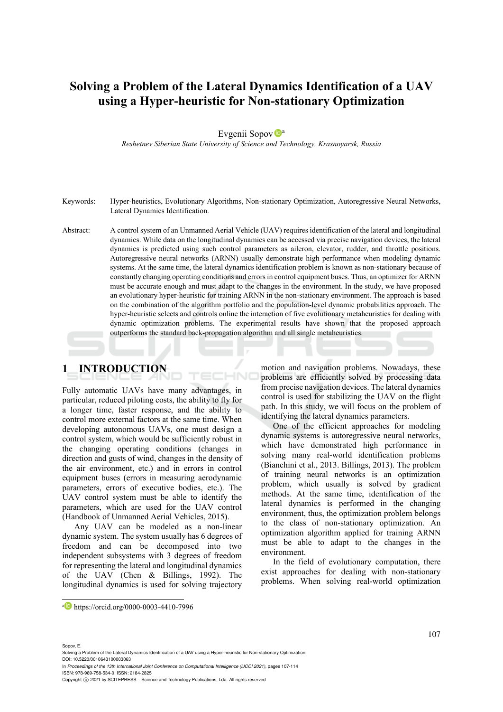# **Solving a Problem of the Lateral Dynamics Identification of a UAV using a Hyper-heuristic for Non-stationary Optimization**

#### Evgenii Sopov<sup>Da</sup>

*Reshetnev Siberian State University of Science and Technology, Krasnoyarsk, Russia* 

Keywords: Hyper-heuristics, Evolutionary Algorithms, Non-stationary Optimization, Autoregressive Neural Networks, Lateral Dynamics Identification.

Abstract: A control system of an Unmanned Aerial Vehicle (UAV) requires identification of the lateral and longitudinal dynamics. While data on the longitudinal dynamics can be accessed via precise navigation devices, the lateral dynamics is predicted using such control parameters as aileron, elevator, rudder, and throttle positions. Autoregressive neural networks (ARNN) usually demonstrate high performance when modeling dynamic systems. At the same time, the lateral dynamics identification problem is known as non-stationary because of constantly changing operating conditions and errors in control equipment buses. Thus, an optimizer for ARNN must be accurate enough and must adapt to the changes in the environment. In the study, we have proposed an evolutionary hyper-heuristic for training ARNN in the non-stationary environment. The approach is based on the combination of the algorithm portfolio and the population-level dynamic probabilities approach. The hyper-heuristic selects and controls online the interaction of five evolutionary metaheuristics for dealing with dynamic optimization problems. The experimental results have shown that the proposed approach outperforms the standard back-propagation algorithm and all single metaheuristics.

ECHN

## **1 INTRODUCTION**

Fully automatic UAVs have many advantages, in particular, reduced piloting costs, the ability to fly for a longer time, faster response, and the ability to control more external factors at the same time. When developing autonomous UAVs, one must design a control system, which would be sufficiently robust in the changing operating conditions (changes in direction and gusts of wind, changes in the density of the air environment, etc.) and in errors in control equipment buses (errors in measuring aerodynamic parameters, errors of executive bodies, etc.). The UAV control system must be able to identify the parameters, which are used for the UAV control (Handbook of Unmanned Aerial Vehicles, 2015).

Any UAV can be modeled as a non-linear dynamic system. The system usually has 6 degrees of freedom and can be decomposed into two independent subsystems with 3 degrees of freedom for representing the lateral and longitudinal dynamics of the UAV (Chen & Billings, 1992). The longitudinal dynamics is used for solving trajectory

motion and navigation problems. Nowadays, these problems are efficiently solved by processing data from precise navigation devices. The lateral dynamics control is used for stabilizing the UAV on the flight path. In this study, we will focus on the problem of identifying the lateral dynamics parameters.

One of the efficient approaches for modeling dynamic systems is autoregressive neural networks, which have demonstrated high performance in solving many real-world identification problems (Bianchini et al., 2013. Billings, 2013). The problem of training neural networks is an optimization problem, which usually is solved by gradient methods. At the same time, identification of the lateral dynamics is performed in the changing environment, thus, the optimization problem belongs to the class of non-stationary optimization. An optimization algorithm applied for training ARNN must be able to adapt to the changes in the environment.

In the field of evolutionary computation, there exist approaches for dealing with non-stationary problems. When solving real-world optimization

#### 107

#### Sopov, E.

Solving a Problem of the Lateral Dynamics Identification of a UAV using a Hyper-heuristic for Non-stationary Optimization. DOI: 10.5220/0010643100003063

In *Proceedings of the 13th International Joint Conference on Computational Intelligence (IJCCI 2021)*, pages 107-114 ISBN: 978-989-758-534-0; ISSN: 2184-2825

a https://orcid.org/0000-0003-4410-7996

Copyright (C) 2021 by SCITEPRESS - Science and Technology Publications, Lda. All rights reserved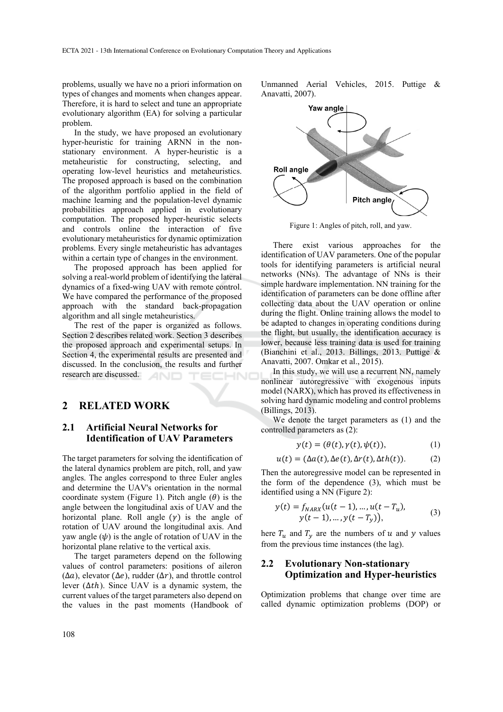problems, usually we have no a priori information on types of changes and moments when changes appear. Therefore, it is hard to select and tune an appropriate evolutionary algorithm (EA) for solving a particular problem.

In the study, we have proposed an evolutionary hyper-heuristic for training ARNN in the nonstationary environment. A hyper-heuristic is a metaheuristic for constructing, selecting, and operating low-level heuristics and metaheuristics. The proposed approach is based on the combination of the algorithm portfolio applied in the field of machine learning and the population-level dynamic probabilities approach applied in evolutionary computation. The proposed hyper-heuristic selects and controls online the interaction of five evolutionary metaheuristics for dynamic optimization problems. Every single metaheuristic has advantages within a certain type of changes in the environment.

The proposed approach has been applied for solving a real-world problem of identifying the lateral dynamics of a fixed-wing UAV with remote control. We have compared the performance of the proposed approach with the standard back-propagation algorithm and all single metaheuristics.

The rest of the paper is organized as follows. Section 2 describes related work. Section 3 describes the proposed approach and experimental setups. In Section 4, the experimental results are presented and discussed. In the conclusion, the results and further research are discussed.

## **2 RELATED WORK**

#### **2.1 Artificial Neural Networks for Identification of UAV Parameters**

The target parameters for solving the identification of the lateral dynamics problem are pitch, roll, and yaw angles. The angles correspond to three Euler angles and determine the UAV's orientation in the normal coordinate system (Figure 1). Pitch angle  $(\theta)$  is the angle between the longitudinal axis of UAV and the horizontal plane. Roll angle  $(v)$  is the angle of rotation of UAV around the longitudinal axis. And yaw angle  $(\psi)$  is the angle of rotation of UAV in the horizontal plane relative to the vertical axis.

The target parameters depend on the following values of control parameters: positions of aileron  $(\Delta a)$ , elevator ( $\Delta e$ ), rudder ( $\Delta r$ ), and throttle control lever  $(\Delta th)$ . Since UAV is a dynamic system, the current values of the target parameters also depend on the values in the past moments (Handbook of Unmanned Aerial Vehicles, 2015. Puttige & Anavatti, 2007).



Figure 1: Angles of pitch, roll, and yaw.

There exist various approaches for the identification of UAV parameters. One of the popular tools for identifying parameters is artificial neural networks (NNs). The advantage of NNs is their simple hardware implementation. NN training for the identification of parameters can be done offline after collecting data about the UAV operation or online during the flight. Online training allows the model to be adapted to changes in operating conditions during the flight, but usually, the identification accuracy is lower, because less training data is used for training (Bianchini et al., 2013. Billings, 2013. Puttige & Anavatti, 2007. Omkar et al., 2015).

In this study, we will use a recurrent NN, namely nonlinear autoregressive with exogenous inputs model (NARX), which has proved its effectiveness in solving hard dynamic modeling and control problems (Billings, 2013).

We denote the target parameters as (1) and the controlled parameters as (2):

$$
y(t) = (\theta(t), \gamma(t), \psi(t)), \tag{1}
$$

$$
u(t) = (\Delta a(t), \Delta e(t), \Delta r(t), \Delta t h(t)).
$$
 (2)

Then the autoregressive model can be represented in the form of the dependence (3), which must be identified using a NN (Figure 2):

$$
y(t) = f_{NARX}(u(t-1), ..., u(t - T_u),
$$
  
 
$$
y(t-1), ..., y(t - T_y)),
$$
 (3)

here  $T_u$  and  $T_v$  are the numbers of u and y values from the previous time instances (the lag).

### **2.2 Evolutionary Non-stationary Optimization and Hyper-heuristics**

Optimization problems that change over time are called dynamic optimization problems (DOP) or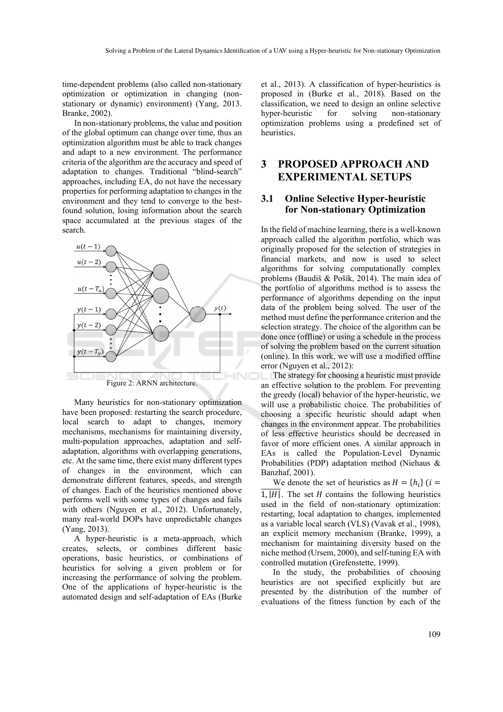time-dependent problems (also called non-stationary optimization or optimization in changing (nonstationary or dynamic) environment) (Yang, 2013. Branke, 2002).

In non-stationary problems, the value and position of the global optimum can change over time, thus an optimization algorithm must be able to track changes and adapt to a new environment. The performance criteria of the algorithm are the accuracy and speed of adaptation to changes. Traditional "blind-search" approaches, including EA, do not have the necessary properties for performing adaptation to changes in the environment and they tend to converge to the bestfound solution, losing information about the search space accumulated at the previous stages of the search.



Many heuristics for non-stationary optimization have been proposed: restarting the search procedure, local search to adapt to changes, memory mechanisms, mechanisms for maintaining diversity, multi-population approaches, adaptation and selfadaptation, algorithms with overlapping generations, etc. At the same time, there exist many different types of changes in the environment, which can demonstrate different features, speeds, and strength of changes. Each of the heuristics mentioned above performs well with some types of changes and fails with others (Nguyen et al., 2012). Unfortunately, many real-world DOPs have unpredictable changes (Yang, 2013).

A hyper-heuristic is a meta-approach, which creates, selects, or combines different basic operations, basic heuristics, or combinations of heuristics for solving a given problem or for increasing the performance of solving the problem. One of the applications of hyper-heuristic is the automated design and self-adaptation of EAs (Burke et al., 2013). A classification of hyper-heuristics is proposed in (Burke et al., 2018). Based on the classification, we need to design an online selective hyper-heuristic for solving non-stationary optimization problems using a predefined set of heuristics.

## **3 PROPOSED APPROACH AND EXPERIMENTAL SETUPS**

### **3.1 Online Selective Hyper-heuristic for Non-stationary Optimization**

In the field of machine learning, there is a well-known approach called the algorithm portfolio, which was originally proposed for the selection of strategies in financial markets, and now is used to select algorithms for solving computationally complex problems (Baudiš & Pošík, 2014). The main idea of the portfolio of algorithms method is to assess the performance of algorithms depending on the input data of the problem being solved. The user of the method must define the performance criterion and the selection strategy. The choice of the algorithm can be done once (offline) or using a schedule in the process of solving the problem based on the current situation (online). In this work, we will use a modified offline error (Nguyen et al., 2012):

The strategy for choosing a heuristic must provide an effective solution to the problem. For preventing the greedy (local) behavior of the hyper-heuristic, we will use a probabilistic choice. The probabilities of choosing a specific heuristic should adapt when changes in the environment appear. The probabilities of less effective heuristics should be decreased in favor of more efficient ones. A similar approach in EAs is called the Population-Level Dynamic Probabilities (PDP) adaptation method (Niehaus & Banzhaf, 2001).

We denote the set of heuristics as  $H = \{h_i\}$  (*i* =  $\overline{1, |H|}$ . The set *H* contains the following heuristics used in the field of non-stationary optimization: restarting, local adaptation to changes, implemented as a variable local search (VLS) (Vavak et al., 1998), an explicit memory mechanism (Branke, 1999), a mechanism for maintaining diversity based on the niche method (Ursem, 2000), and self-tuning EA with controlled mutation (Grefenstette, 1999).

In the study, the probabilities of choosing heuristics are not specified explicitly but are presented by the distribution of the number of evaluations of the fitness function by each of the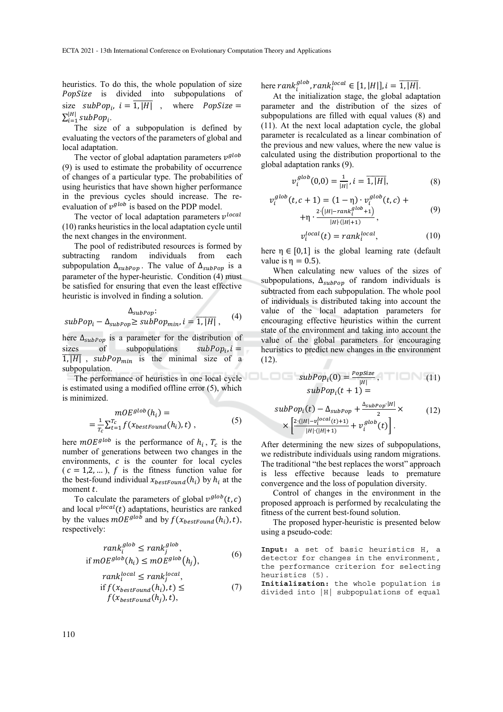heuristics. To do this, the whole population of size PopSize is divided into subpopulations of size  $subPop_i$ ,  $i = \overline{1, |H|}$ , where  $PopSize =$  $\sum_{i=1}^{|H|} subPop_i.$ 

The size of a subpopulation is defined by evaluating the vectors of the parameters of global and local adaptation.

The vector of global adaptation parameters  $v^{glob}$ (9) is used to estimate the probability of occurrence of changes of a particular type. The probabilities of using heuristics that have shown higher performance in the previous cycles should increase. The reevaluation of  $v^{glob}$  is based on the PDP model.

The vector of local adaptation parameters  $v^{local}$ (10) ranks heuristics in the local adaptation cycle until the next changes in the environment.

The pool of redistributed resources is formed by subtracting random individuals from each subpopulation  $\Delta_{subPop}$ . The value of  $\Delta_{subPop}$  is a parameter of the hyper-heuristic. Condition (4) must be satisfied for ensuring that even the least effective heuristic is involved in finding a solution.

$$
\Delta_{subPop}: subPop_i - \Delta_{subPop} \geq subPop_{min}, i = \overline{1, |H|},
$$
 (4)

here  $\Delta_{subPop}$  is a parameter for the distribution of sizes of subpopulations  $subPop_i, i =$  $\overline{1, |H|}$ , subPop<sub>min</sub> is the minimal size of a subpopulation.

The performance of heuristics in one local cycle is estimated using a modified offline error (5), which is minimized.

$$
mOE^{glob}(h_i) =
$$
  
=  $\frac{1}{T_c} \sum_{t=1}^{T_c} f(x_{bestFound}(h_i), t)$ , (5)

here  $mOE^{glob}$  is the performance of  $h_i$ ,  $T_c$  is the number of generations between two changes in the environments,  $c$  is the counter for local cycles  $(c = 1, 2, ...)$ , f is the fitness function value for the best-found individual  $x_{bestFound}(h_i)$  by  $h_i$  at the moment t.

To calculate the parameters of global  $v^{glob}(t, c)$ and local  $v^{local}(t)$  adaptations, heuristics are ranked by the values  $mOE^{glob}$  and by  $f(x_{bestFound}(h_i), t)$ , respectively:

$$
rank_i^{glob} \le rank_j^{glob},
$$
  
if 
$$
mOE^{glob}(h_i) \le mOE^{glob}(h_j),
$$
 (6)

$$
rank_i^{local} \le rank_j^{local},
$$
  
if  $f(x_{bestFound}(h_i), t) \leq$   
 $f(x_{bestFound}(h_j), t),$  (7)

here  $rank_i^{glob}$ ,  $rank_i^{local} \in [1, |H|]$ ,  $i = \overline{1, |H|}$ .

At the initialization stage, the global adaptation parameter and the distribution of the sizes of subpopulations are filled with equal values (8) and (11). At the next local adaptation cycle, the global parameter is recalculated as a linear combination of the previous and new values, where the new value is calculated using the distribution proportional to the global adaptation ranks (9).

$$
v_i^{glob}(0,0) = \frac{1}{|H|}, i = \overline{1, |H|},
$$
\n(8)

$$
v_i^{glob}(t, c+1) = (1 - \eta) \cdot v_i^{glob}(t, c) + + \eta \cdot \frac{2(|H| - rank_i^{glob} + 1)}{|H| \cdot (|H| + 1)},
$$
(9)

$$
v_i^{local}(t) = rank_i^{local}, \qquad (10)
$$

here  $\eta \in [0,1]$  is the global learning rate (default value is  $\eta = 0.5$ ).

When calculating new values of the sizes of subpopulations,  $\Delta_{\text{subPop}}$  of random individuals is subtracted from each subpopulation. The whole pool of individuals is distributed taking into account the value of the local adaptation parameters for encouraging effective heuristics within the current state of the environment and taking into account the value of the global parameters for encouraging heuristics to predict new changes in the environment (12).

$$
subPopi(0) = \frac{Popsize}{|H|}, \qquad (11)
$$

$$
subPopi(t + 1) =
$$

$$
subPopi(t) - \Delta_{subPop} + \frac{\Delta_{subPop'}|H|}{2} \times \times \left[ \frac{2 \cdot (|H| - v_i^{local}(t) + 1)}{|H| \cdot (|H| + 1)} + v_i^{glob}(t) \right].
$$
 (12)

After determining the new sizes of subpopulations, we redistribute individuals using random migrations. The traditional "the best replaces the worst" approach is less effective because leads to premature convergence and the loss of population diversity.

Control of changes in the environment in the proposed approach is performed by recalculating the fitness of the current best-found solution.

The proposed hyper-heuristic is presented below using a pseudo-code:

**Input:** a set of basic heuristics H, a detector for changes in the environment, the performance criterion for selecting heuristics (5).

**Initialization:** the whole population is divided into |H| subpopulations of equal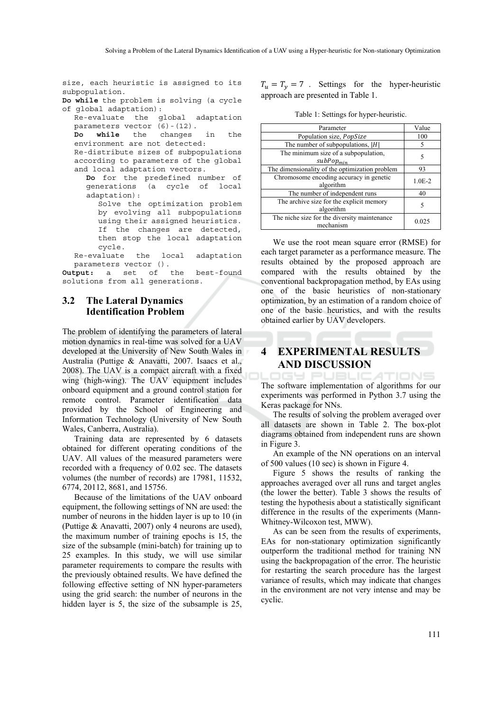size, each heuristic is assigned to its subpopulation.

**Do while** the problem is solving (a cycle of global adaptation):

Re-evaluate the global adaptation parameters vector (6)-(12).

**Do while** the changes in the environment are not detected: Re-distribute sizes of subpopulations

according to parameters of the global and local adaptation vectors.

**Do** for the predefined number of generations (a cycle of local adaptation):

Solve the optimization problem by evolving all subpopulations using their assigned heuristics. If the changes are detected, then stop the local adaptation cycle.

Re-evaluate the local adaptation parameters vector ().

**Output:** a set of the best-found solutions from all generations.

#### **3.2 The Lateral Dynamics Identification Problem**

The problem of identifying the parameters of lateral motion dynamics in real-time was solved for a UAV developed at the University of New South Wales in Australia (Puttige & Anavatti, 2007. Isaacs et al., 2008). The UAV is a compact aircraft with a fixed wing (high-wing). The UAV equipment includes onboard equipment and a ground control station for remote control. Parameter identification data provided by the School of Engineering and Information Technology (University of New South Wales, Canberra, Australia).

Training data are represented by 6 datasets obtained for different operating conditions of the UAV. All values of the measured parameters were recorded with a frequency of 0.02 sec. The datasets volumes (the number of records) are 17981, 11532, 6774, 20112, 8681, and 15756.

Because of the limitations of the UAV onboard equipment, the following settings of NN are used: the number of neurons in the hidden layer is up to 10 (in (Puttige & Anavatti, 2007) only 4 neurons are used), the maximum number of training epochs is 15, the size of the subsample (mini-batch) for training up to 25 examples. In this study, we will use similar parameter requirements to compare the results with the previously obtained results. We have defined the following effective setting of NN hyper-parameters using the grid search: the number of neurons in the hidden layer is 5, the size of the subsample is 25,

 $T_u = T_v = 7$ . Settings for the hyper-heuristic approach are presented in Table 1.

Table 1: Settings for hyper-heuristic.

| Parameter                                                 | Value    |  |
|-----------------------------------------------------------|----------|--|
| Population size, PopSize                                  | 100      |  |
| The number of subpopulations, $ H $                       |          |  |
| The minimum size of a subpopulation,<br>$subPop_{min}$    | 5        |  |
| The dimensionality of the optimization problem            | 93       |  |
| Chromosome encoding accuracy in genetic<br>algorithm      | $1.0E-2$ |  |
| The number of independent runs                            | 40       |  |
| The archive size for the explicit memory<br>algorithm     | 5        |  |
| The niche size for the diversity maintenance<br>mechanism | 0.025    |  |

We use the root mean square error (RMSE) for each target parameter as a performance measure. The results obtained by the proposed approach are compared with the results obtained by the conventional backpropagation method, by EAs using one of the basic heuristics of non-stationary optimization, by an estimation of a random choice of one of the basic heuristics, and with the results obtained earlier by UAV developers.

## **4 EXPERIMENTAL RESULTS AND DISCUSSION**

OGY PUBLICATIONS The software implementation of algorithms for our experiments was performed in Python 3.7 using the Keras package for NNs.

The results of solving the problem averaged over all datasets are shown in Table 2. The box-plot diagrams obtained from independent runs are shown in Figure 3.

An example of the NN operations on an interval of 500 values (10 sec) is shown in Figure 4.

Figure 5 shows the results of ranking the approaches averaged over all runs and target angles (the lower the better). Table 3 shows the results of testing the hypothesis about a statistically significant difference in the results of the experiments (Mann-Whitney-Wilcoxon test, MWW).

As can be seen from the results of experiments, EAs for non-stationary optimization significantly outperform the traditional method for training NN using the backpropagation of the error. The heuristic for restarting the search procedure has the largest variance of results, which may indicate that changes in the environment are not very intense and may be cyclic.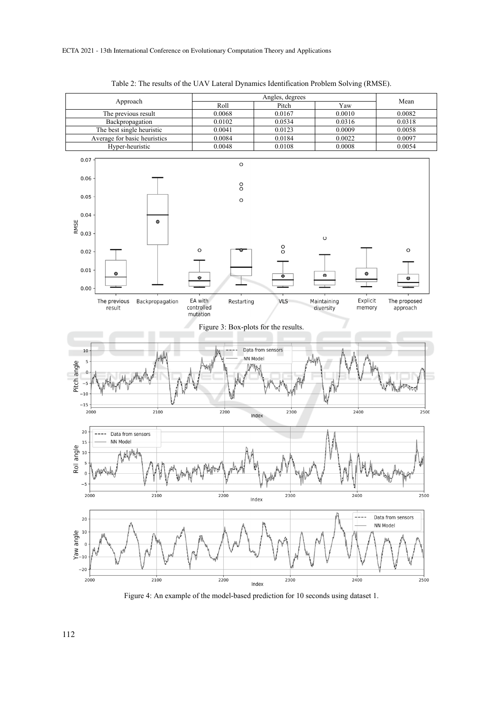

Table 2: The results of the UAV Lateral Dynamics Identification Problem Solving (RMSE).

Figure 4: An example of the model-based prediction for 10 seconds using dataset 1.

112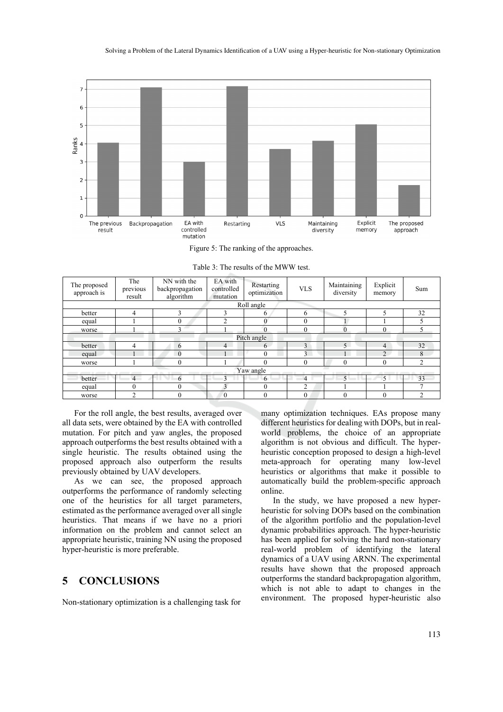

Figure 5: The ranking of the approaches.

| The proposed<br>approach is | The<br>previous<br>result | NN with the<br>backpropagation<br>algorithm | EA with<br>controlled<br>mutation | Restarting<br>optimization | <b>VLS</b>               | Maintaining<br>diversity | Explicit<br>memory | Sum           |  |  |
|-----------------------------|---------------------------|---------------------------------------------|-----------------------------------|----------------------------|--------------------------|--------------------------|--------------------|---------------|--|--|
| Roll angle                  |                           |                                             |                                   |                            |                          |                          |                    |               |  |  |
| better                      | 4                         | 3                                           | 3                                 | 6                          | 6                        | 5                        | 5                  | 32            |  |  |
| equal                       |                           | $\theta$                                    | ↑                                 | 0                          | $\mathbf{0}$             |                          |                    |               |  |  |
| worse                       |                           | $\rightarrow$                               |                                   | $\theta$                   | $\theta$                 |                          | $\theta$           |               |  |  |
| Pitch angle                 |                           |                                             |                                   |                            |                          |                          |                    |               |  |  |
| better                      | 4                         | 6                                           | 4                                 | 6                          | 3                        | $\sim$                   | $\overline{4}$     | 32            |  |  |
| equal                       |                           | $\Omega$                                    |                                   | $\theta$                   | $\overline{\mathcal{E}}$ |                          | $\mathcal{L}$      | 8             |  |  |
| worse                       |                           | O                                           |                                   | $\theta$                   | $\boldsymbol{0}$         | $\theta$                 | $\mathbf{0}$       | C             |  |  |
| Yaw angle<br>and the        |                           |                                             |                                   |                            |                          |                          |                    |               |  |  |
| better                      | $\overline{4}$            | 6                                           |                                   | 6                          | 4                        | $\sim$                   | 5 <sup>1</sup>     | 33            |  |  |
| equal                       | $\theta$                  | $\theta$                                    | 3                                 | $\theta$                   | 2                        |                          |                    |               |  |  |
| worse                       | $\mathcal{D}$             | $\Omega$                                    | $\Omega$                          | $\theta$                   | 0                        | $\Omega$                 | $\theta$           | $\mathcal{L}$ |  |  |

Table 3: The results of the MWW test.

For the roll angle, the best results, averaged over all data sets, were obtained by the EA with controlled mutation. For pitch and yaw angles, the proposed approach outperforms the best results obtained with a single heuristic. The results obtained using the proposed approach also outperform the results previously obtained by UAV developers.

As we can see, the proposed approach outperforms the performance of randomly selecting one of the heuristics for all target parameters, estimated as the performance averaged over all single heuristics. That means if we have no a priori information on the problem and cannot select an appropriate heuristic, training NN using the proposed hyper-heuristic is more preferable.

## **5 CONCLUSIONS**

Non-stationary optimization is a challenging task for

many optimization techniques. EAs propose many different heuristics for dealing with DOPs, but in realworld problems, the choice of an appropriate algorithm is not obvious and difficult. The hyperheuristic conception proposed to design a high-level meta-approach for operating many low-level heuristics or algorithms that make it possible to automatically build the problem-specific approach online.

In the study, we have proposed a new hyperheuristic for solving DOPs based on the combination of the algorithm portfolio and the population-level dynamic probabilities approach. The hyper-heuristic has been applied for solving the hard non-stationary real-world problem of identifying the lateral dynamics of a UAV using ARNN. The experimental results have shown that the proposed approach outperforms the standard backpropagation algorithm, which is not able to adapt to changes in the environment. The proposed hyper-heuristic also